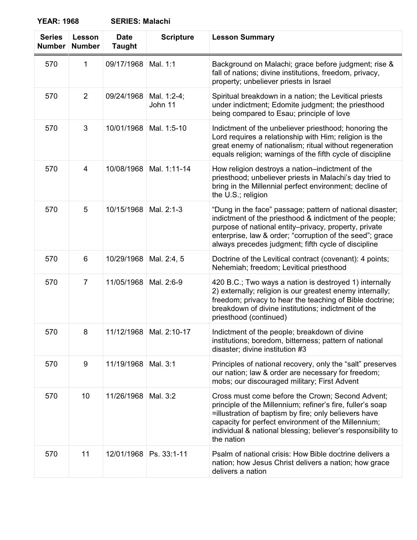**YEAR: 1968 SERIES: Malachi**

| <b>Series</b><br><b>Number</b> | Lesson<br><b>Number</b> | <b>Date</b><br><b>Taught</b> | <b>Scripture</b>          | <b>Lesson Summary</b>                                                                                                                                                                                                                                                                                        |
|--------------------------------|-------------------------|------------------------------|---------------------------|--------------------------------------------------------------------------------------------------------------------------------------------------------------------------------------------------------------------------------------------------------------------------------------------------------------|
| 570                            | $\mathbf 1$             | 09/17/1968                   | Mal. 1:1                  | Background on Malachi; grace before judgment; rise &<br>fall of nations; divine institutions, freedom, privacy,<br>property; unbeliever priests in Israel                                                                                                                                                    |
| 570                            | 2                       | 09/24/1968                   | Mal. 1:2-4;<br>John 11    | Spiritual breakdown in a nation; the Levitical priests<br>under indictment; Edomite judgment; the priesthood<br>being compared to Esau; principle of love                                                                                                                                                    |
| 570                            | 3                       | 10/01/1968                   | Mal. 1:5-10               | Indictment of the unbeliever priesthood; honoring the<br>Lord requires a relationship with Him; religion is the<br>great enemy of nationalism; ritual without regeneration<br>equals religion; warnings of the fifth cycle of discipline                                                                     |
| 570                            | 4                       | 10/08/1968                   | Mal. 1:11-14              | How religion destroys a nation-indictment of the<br>priesthood; unbeliever priests in Malachi's day tried to<br>bring in the Millennial perfect environment; decline of<br>the U.S.; religion                                                                                                                |
| 570                            | 5                       | 10/15/1968                   | Mal. 2:1-3                | "Dung in the face" passage; pattern of national disaster;<br>indictment of the priesthood & indictment of the people;<br>purpose of national entity-privacy, property, private<br>enterprise, law & order; "corruption of the seed"; grace<br>always precedes judgment; fifth cycle of discipline            |
| 570                            | 6                       | 10/29/1968                   | Mal. 2:4, 5               | Doctrine of the Levitical contract (covenant): 4 points;<br>Nehemiah; freedom; Levitical priesthood                                                                                                                                                                                                          |
| 570                            | $\overline{7}$          | 11/05/1968                   | Mal. 2:6-9                | 420 B.C.; Two ways a nation is destroyed 1) internally<br>2) externally; religion is our greatest enemy internally;<br>freedom; privacy to hear the teaching of Bible doctrine;<br>breakdown of divine institutions; indictment of the<br>priesthood (continued)                                             |
| 570                            | 8                       |                              | 11/12/1968   Mal. 2:10-17 | Indictment of the people; breakdown of divine<br>institutions; boredom, bitterness; pattern of national<br>disaster; divine institution #3                                                                                                                                                                   |
| 570                            | 9                       | 11/19/1968                   | Mal. 3:1                  | Principles of national recovery, only the "salt" preserves<br>our nation; law & order are necessary for freedom;<br>mobs; our discouraged military; First Advent                                                                                                                                             |
| 570                            | 10                      | 11/26/1968                   | Mal. 3:2                  | Cross must come before the Crown; Second Advent;<br>principle of the Millennium; refiner's fire, fuller's soap<br>=illustration of baptism by fire; only believers have<br>capacity for perfect environment of the Millennium;<br>individual & national blessing; believer's responsibility to<br>the nation |
| 570                            | 11                      | 12/01/1968                   | Ps. 33:1-11               | Psalm of national crisis: How Bible doctrine delivers a<br>nation; how Jesus Christ delivers a nation; how grace<br>delivers a nation                                                                                                                                                                        |